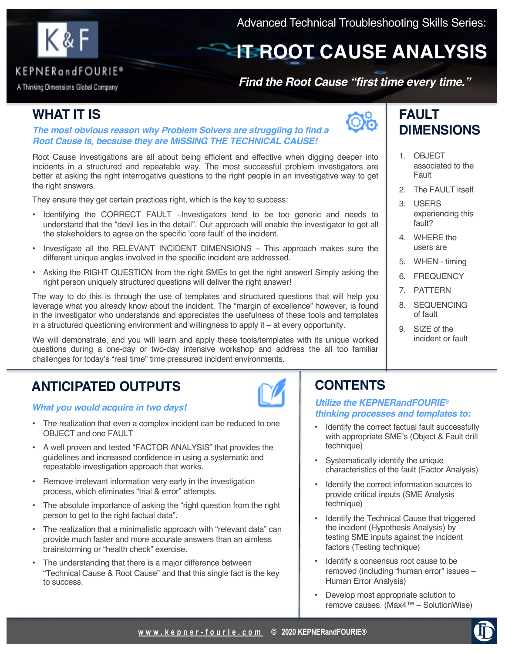

# **IT ROOT CAUSE ANALYSIS**

### KEPNERandFOURIE®

A Thinking Dimensions Global Company

### *Find the Root Cause "first time every time."*

## **WHAT IT IS**

#### *The most obvious reason why Problem Solvers are struggling to find a Root Cause is, because they are MISSING THE TECHNICAL CAUSE!*

Root Cause investigations are all about being efficient and effective when digging deeper into incidents in a structured and repeatable way. The most successful problem investigators are better at asking the right interrogative questions to the right people in an investigative way to get the right answers.

They ensure they get certain practices right, which is the key to success:

- Identifying the CORRECT FAULT –Investigators tend to be too generic and needs to understand that the "devil lies in the detail". Our approach will enable the investigator to get all the stakeholders to agree on the specific 'core fault' of the incident.
- Investigate all the RELEVANT INCIDENT DIMENSIONS This approach makes sure the different unique angles involved in the specific incident are addressed.
- Asking the RIGHT QUESTION from the right SMEs to get the right answer! Simply asking the right person uniquely structured questions will deliver the right answer!

The way to do this is through the use of templates and structured questions that will help you leverage what you already know about the incident. The "margin of excellence" however, is found in the investigator who understands and appreciates the usefulness of these tools and templates in a structured questioning environment and willingness to apply it – at every opportunity.

We will demonstrate, and you will learn and apply these tools/templates with its unique worked questions during a one-day or two-day intensive workshop and address the all too familiar challenges for today's "real time" time pressured incident environments.

## **ANTICIPATED OUTPUTS**

#### *What you would acquire in two days!*

- The realization that even a complex incident can be reduced to one OBJECT and one FAULT
- A well proven and tested "FACTOR ANALYSIS" that provides the guidelines and increased confidence in using a systematic and repeatable investigation approach that works.
- Remove irrelevant information very early in the investigation process, which eliminates "trial & error" attempts.
- The absolute importance of asking the "right question from the right person to get to the right factual data".
- The realization that a minimalistic approach with "relevant data" can provide much faster and more accurate answers than an aimless brainstorming or "health check" exercise.
- The understanding that there is a major difference between "Technical Cause & Root Cause" and that this single fact is the key to success.



## **FAULT DIMENSIONS**

- 1. OBJECT associated to the Fault
- 2. The FAULT itself
- 3. USERS experiencing this fault?
- 4. WHERE the users are
- 5. WHEN timing
- 6. FREQUENCY
- 7. PATTERN
- 8. SEQUENCING of fault
- 9. SIZE of the incident or fault

## **CONTENTS**

#### *Utilize the KEPNERandFOURIE*® *thinking processes and templates to:*

- Identify the correct factual fault successfully with appropriate SME's (Object & Fault drill technique)
- Systematically identify the unique characteristics of the fault (Factor Analysis)
- Identify the correct information sources to provide critical inputs (SME Analysis technique)
- Identify the Technical Cause that triggered the incident (Hypothesis Analysis) by testing SME inputs against the incident factors (Testing technique)
- Identify a consensus root cause to be removed (including "human error" issues – Human Error Analysis)
- Develop most appropriate solution to remove causes. (Max4™ – SolutionWise)